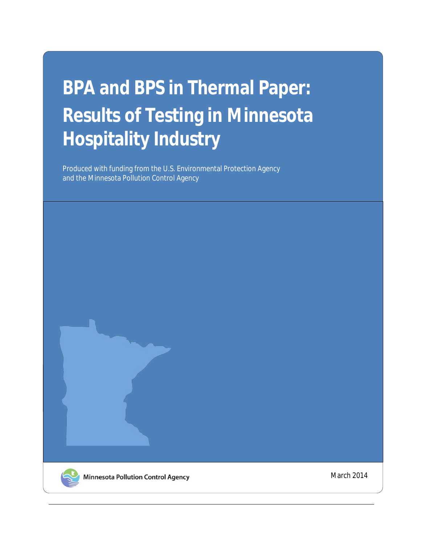# **BPA and BPS in Thermal Paper: Results of Testing in Minnesota Hospitality Industry**

Produced with funding from the U.S. Environmental Protection Agency and the Minnesota Pollution Control Agency



March 2014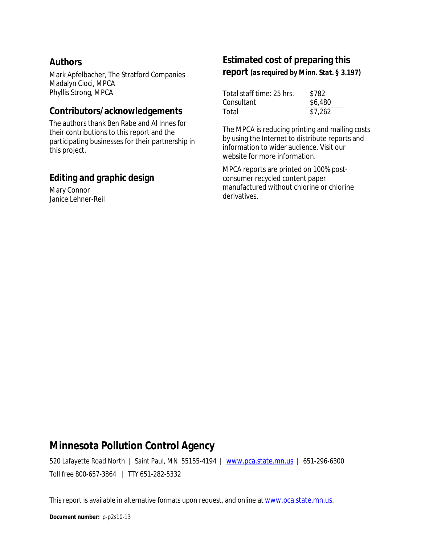#### **Authors**

Mark Apfelbacher, The Stratford Companies Madalyn Cioci, MPCA Phyllis Strong, MPCA

#### **Contributors/acknowledgements**

The authors thank Ben Rabe and Al Innes for their contributions to this report and the participating businesses for their partnership in this project.

#### **Editing and graphic design**

Mary Connor Janice Lehner-Reil

### **Estimated cost of preparing this**

**report** *(as required by Minn. Stat. § 3.197)*

| Total staff time: 25 hrs. | \$782   |
|---------------------------|---------|
| Consultant                | \$6,480 |
| Total                     | \$7,262 |

The MPCA is reducing printing and mailing costs by using the Internet to distribute reports and information to wider audience. Visit our website for more information.

MPCA reports are printed on 100% postconsumer recycled content paper manufactured without chlorine or chlorine derivatives.

#### **Minnesota Pollution Control Agency**

520 Lafayette Road North | Saint Paul, MN 55155-4194 | [www.pca.state.mn.us](http://www.pca.state.mn.us/) | 651-296-6300 Toll free 800-657-3864 | TTY 651-282-5332

This report is available in alternative formats upon request, and online a[t www.pca.state.mn.us.](http://www.pca.state.mn.us/)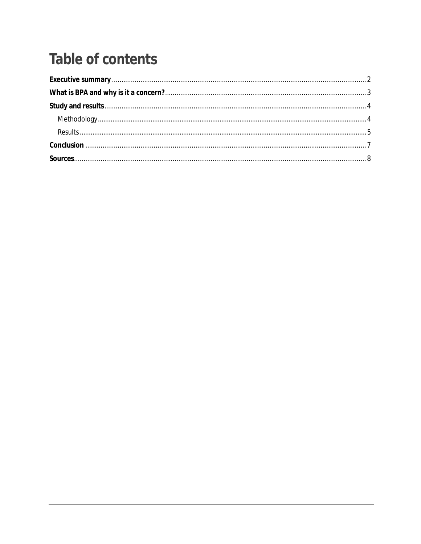### **Table of contents**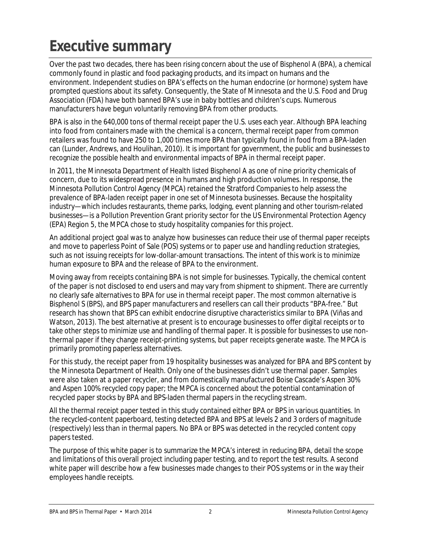# <span id="page-3-0"></span>**Executive summary**

Over the past two decades, there has been rising concern about the use of Bisphenol A (BPA), a chemical commonly found in plastic and food packaging products, and its impact on humans and the environment. Independent studies on BPA's effects on the human endocrine (or hormone) system have prompted questions about its safety. Consequently, the State of Minnesota and the U.S. Food and Drug Association (FDA) have both banned BPA's use in baby bottles and children's cups. Numerous manufacturers have begun voluntarily removing BPA from other products.

BPA is also in the 640,000 tons of thermal receipt paper the U.S. uses each year. Although BPA leaching into food from containers made with the chemical is a concern, thermal receipt paper from common retailers was found to have 250 to 1,000 times more BPA than typically found in food from a BPA-laden can (Lunder, Andrews, and Houlihan, 2010). It is important for government, the public and businesses to recognize the possible health and environmental impacts of BPA in thermal receipt paper.

In 2011, the Minnesota Department of Health listed Bisphenol A as one of nine priority chemicals of concern, due to its widespread presence in humans and high production volumes. In response, the Minnesota Pollution Control Agency (MPCA) retained the Stratford Companies to help assess the prevalence of BPA-laden receipt paper in one set of Minnesota businesses. Because the hospitality industry—which includes restaurants, theme parks, lodging, event planning and other tourism-related businesses—is a Pollution Prevention Grant priority sector for the US Environmental Protection Agency (EPA) Region 5, the MPCA chose to study hospitality companies for this project.

An additional project goal was to analyze how businesses can reduce their use of thermal paper receipts and move to paperless Point of Sale (POS) systems or to paper use and handling reduction strategies, such as not issuing receipts for low-dollar-amount transactions. The intent of this work is to minimize human exposure to BPA and the release of BPA to the environment.

Moving away from receipts containing BPA is not simple for businesses. Typically, the chemical content of the paper is not disclosed to end users and may vary from shipment to shipment. There are currently no clearly safe alternatives to BPA for use in thermal receipt paper. The most common alternative is Bisphenol S (BPS), and BPS paper manufacturers and resellers *can* call their products "BPA-free." But research has shown that BPS can exhibit endocrine disruptive characteristics similar to BPA (Viñas and Watson, 2013). The best alternative at present is to encourage businesses to offer digital receipts or to take other steps to minimize use and handling of thermal paper. It is possible for businesses to use nonthermal paper if they change receipt-printing systems, but paper receipts generate waste. The MPCA is primarily promoting paperless alternatives.

For this study, the receipt paper from 19 hospitality businesses was analyzed for BPA and BPS content by the Minnesota Department of Health. Only one of the businesses didn't use thermal paper. Samples were also taken at a paper recycler, and from domestically manufactured Boise Cascade's Aspen 30% and Aspen 100% recycled copy paper; the MPCA is concerned about the potential contamination of recycled paper stocks by BPA and BPS-laden thermal papers in the recycling stream.

All the thermal receipt paper tested in this study contained either BPA or BPS in various quantities. In the recycled-content paperboard, testing detected BPA and BPS at levels 2 and 3 orders of magnitude (respectively) less than in thermal papers. No BPA or BPS was detected in the recycled content copy papers tested.

The purpose of this white paper is to summarize the MPCA's interest in reducing BPA, detail the scope and limitations of this overall project including paper testing, and to report the test results. A second white paper will describe how a few businesses made changes to their POS systems or in the way their employees handle receipts.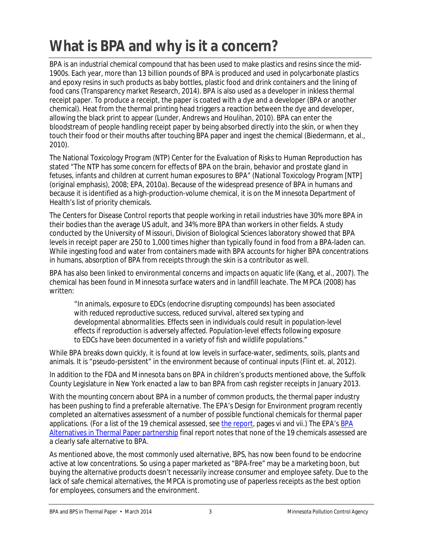# <span id="page-4-0"></span>**What is BPA and why is it a concern?**

BPA is an industrial chemical compound that has been used to make plastics and resins since the mid-1900s. Each year, more than 13 billion pounds of BPA is produced and used in polycarbonate plastics and epoxy resins in such products as baby bottles, plastic food and drink containers and the lining of food cans (Transparency market Research, 2014). BPA is also used as a developer in inkless thermal receipt paper. To produce a receipt, the paper is coated with a dye and a developer (BPA or another chemical). Heat from the thermal printing head triggers a reaction between the dye and developer, allowing the black print to appear (Lunder, Andrews and Houlihan, 2010). BPA can enter the bloodstream of people handling receipt paper by being absorbed directly into the skin, or when they touch their food or their mouths after touching BPA paper and ingest the chemical (Biedermann, et al., 2010).

The National Toxicology Program (NTP) Center for the Evaluation of Risks to Human Reproduction has stated "The NTP has *some concern* for effects of BPA on the brain, behavior and prostate gland in fetuses, infants and children at current human exposures to BPA" (National Toxicology Program [NTP] (original emphasis), 2008; EPA, 2010a). Because of the widespread presence of BPA in humans and because it is identified as a high-production-volume chemical, it is on the Minnesota Department of Health's list of priority chemicals.

The Centers for Disease Control reports that people working in retail industries have 30% more BPA in their bodies than the average US adult, and 34% more BPA than workers in other fields. A study conducted by the University of Missouri, Division of Biological Sciences laboratory showed that BPA levels in receipt paper are 250 to 1,000 times higher than typically found in food from a BPA-laden can. While ingesting food and water from containers made with BPA accounts for higher BPA concentrations in humans, absorption of BPA from receipts through the skin is a contributor as well.

BPA has also been linked to environmental concerns and impacts on aquatic life (Kang, et al., 2007). The chemical has been found in Minnesota surface waters and in landfill leachate. The MPCA (2008) has written:

*"In animals, exposure to EDCs (endocrine disrupting compounds) has been associated with reduced reproductive success, reduced survival, altered sex typing and developmental abnormalities. Effects seen in individuals could result in population-level effects if reproduction is adversely affected. Population-level effects following exposure to EDCs have been documented in a variety of fish and wildlife populations."*

While BPA breaks down quickly, it is found at low levels in surface-water, sediments, soils, plants and animals. It is "pseudo-persistent" in the environment because of continual inputs (Flint et. al, 2012).

In addition to the FDA and Minnesota bans on BPA in children's products mentioned above, the Suffolk County Legislature in New York enacted a law to ban BPA from cash register receipts in January 2013.

With the mounting concern about BPA in a number of common products, the thermal paper industry has been pushing to find a preferable alternative. The EPA's Design for Environment program recently completed an alternatives assessment of a number of possible functional chemicals for thermal paper applications. (For a list of the 19 chemical assessed, see [the report,](http://www.epa.gov/dfe/pubs/projects/bpa/bpa-report-complete.pdf) pages vi and vii.) The EPA's [BPA](http://www.epa.gov/dfe/pubs/projects/bpa/about.htm)  [Alternatives in Thermal Paper partnership](http://www.epa.gov/dfe/pubs/projects/bpa/about.htm) final report notes that none of the 19 chemicals assessed are a clearly safe alternative to BPA.

As mentioned above, the most commonly used alternative, BPS, has now been found to be endocrine active at low concentrations. So using a paper marketed as "BPA-free" may be a marketing boon, but buying the alternative products doesn't necessarily increase consumer and employee safety. Due to the lack of safe chemical alternatives, the MPCA is promoting use of paperless receipts as the best option for employees, consumers and the environment.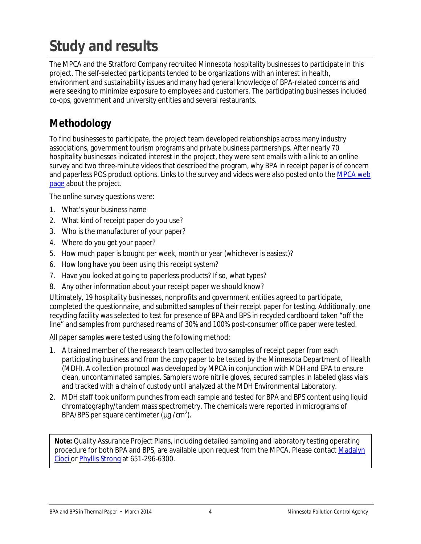# <span id="page-5-0"></span>**Study and results**

The MPCA and the Stratford Company recruited Minnesota hospitality businesses to participate in this project. The self-selected participants tended to be organizations with an interest in health, environment and sustainability issues and many had general knowledge of BPA-related concerns and were seeking to minimize exposure to employees and customers. The participating businesses included co-ops, government and university entities and several restaurants.

#### <span id="page-5-1"></span>**Methodology**

To find businesses to participate, the project team developed relationships across many industry associations, government tourism programs and private business partnerships. After nearly 70 hospitality businesses indicated interest in the project, they were sent emails with a link to an online survey and two three-minute videos that described the program, why BPA in receipt paper is of concern and paperless POS product options. Links to the survey and videos were also posted onto the [MPCA web](http://www.pca.state.mn.us/lupg149d)  [page](http://www.pca.state.mn.us/lupg149d) about the project.

The online survey questions were:

- 1. What's your business name
- 2. What kind of receipt paper do you use?
- 3. Who is the manufacturer of your paper?
- 4. Where do you get your paper?
- 5. How much paper is bought per week, month or year (whichever is easiest)?
- 6. How long have you been using this receipt system?
- 7. Have you looked at going to paperless products? If so, what types?
- 8. Any other information about your receipt paper we should know?

Ultimately, 19 hospitality businesses, nonprofits and government entities agreed to participate, completed the questionnaire, and submitted samples of their receipt paper for testing. Additionally, one recycling facility was selected to test for presence of BPA and BPS in recycled cardboard taken "off the line" and samples from purchased reams of 30% and 100% post-consumer office paper were tested.

All paper samples were tested using the following method:

- 1. A trained member of the research team collected two samples of receipt paper from each participating business and from the copy paper to be tested by the Minnesota Department of Health (MDH). A collection protocol was developed by MPCA in conjunction with MDH and EPA to ensure clean, uncontaminated samples. Samplers wore nitrile gloves, secured samples in labeled glass vials and tracked with a chain of custody until analyzed at the MDH Environmental Laboratory.
- 2. MDH staff took uniform punches from each sample and tested for BPA and BPS content using liquid chromatography/tandem mass spectrometry. The chemicals were reported in micrograms of BPA/BPS per square centimeter ( $mg/cm<sup>2</sup>$ ).

**Note:** Quality Assurance Project Plans, including detailed sampling and laboratory testing operating procedure for both BPA and BPS, are available upon request from the MPCA. Please contact [Madalyn](mailto:madalyn.cioci@state.mn.us)  [Cioci](mailto:madalyn.cioci@state.mn.us) or [Phyllis Strong](mailto:phyllis.strong@state.mn.us) at 651-296-6300.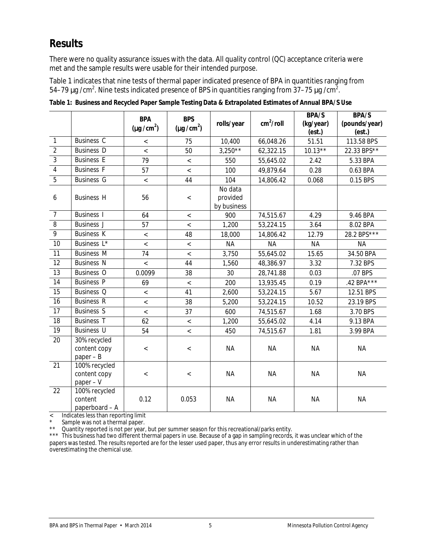#### <span id="page-6-0"></span>**Results**

There were no quality assurance issues with the data. All quality control (QC) acceptance criteria were met and the sample results were usable for their intended purpose.

Table 1 indicates that nine tests of thermal paper indicated presence of BPA in quantities ranging from 54–79  $\textsf{mg}\ / \textsf{cm}^2$ . Nine tests indicated presence of BPS in quantities ranging from 37–75  $\textsf{my}\ / \textsf{cm}^2$ .

|                |                                              | <b>BPA</b>               | <b>BPS</b>               |                                    | cm <sup>2</sup> /roll | BPA/S               | BPA/S                   |
|----------------|----------------------------------------------|--------------------------|--------------------------|------------------------------------|-----------------------|---------------------|-------------------------|
|                |                                              | (mg/cm <sup>2</sup> )    | (mg/cm <sup>2</sup> )    | rolls/year                         |                       | (kg/year)<br>(est.) | (pounds/year)<br>(est.) |
| 1              | Business C                                   | $\,<\,$                  | 75                       | 10,400                             | 66,048.26             | 51.51               | 113.58 BPS              |
| $\overline{2}$ | <b>Business D</b>                            | $\overline{\phantom{a}}$ | 50                       | $3,250**$                          | 62,322.15             | $10.13**$           | 22.33 BPS**             |
| 3              | <b>Business E</b>                            | 79                       | $\overline{\phantom{a}}$ | 550                                | 55,645.02             | 2.42                | 5.33 BPA                |
| $\overline{4}$ | <b>Business F</b>                            | 57                       | $\overline{\phantom{a}}$ | 100                                | 49,879.64             | 0.28                | 0.63 BPA                |
| 5              | <b>Business G</b>                            | $\,<\,$                  | 44                       | 104                                | 14,806.42             | 0.068               | 0.15 BPS                |
| 6              | <b>Business H</b>                            | 56                       | $\,<$                    | No data<br>provided<br>by business |                       |                     |                         |
| $\overline{7}$ | <b>Business I</b>                            | 64                       | $\overline{\phantom{a}}$ | 900                                | 74,515.67             | 4.29                | 9.46 BPA                |
| $\, 8$         | <b>Business J</b>                            | 57                       | $\,<$                    | 1,200                              | 53,224.15             | 3.64                | 8.02 BPA                |
| $\overline{9}$ | <b>Business K</b>                            | $\,<$                    | 48                       | 18,000                             | 14,806.42             | 12.79               | 28.2 BPS***             |
| 10             | Business L*                                  | $\,<$                    | $\,<$                    | <b>NA</b>                          | <b>NA</b>             | <b>NA</b>           | <b>NA</b>               |
| 11             | <b>Business M</b>                            | 74                       | $\,<\,$                  | 3,750                              | 55,645.02             | 15.65               | 34.50 BPA               |
| 12             | <b>Business N</b>                            | $\overline{\phantom{a}}$ | 44                       | 1,560                              | 48,386.97             | 3.32                | 7.32 BPS                |
| 13             | Business O                                   | 0.0099                   | 38                       | 30                                 | 28,741.88             | 0.03                | .07 BPS                 |
| 14             | <b>Business P</b>                            | 69                       | $\,<$                    | 200                                | 13,935.45             | 0.19                | .42 BPA***              |
| 15             | Business <sub>Q</sub>                        | $\,<$                    | 41                       | 2,600                              | 53,224.15             | 5.67                | 12.51 BPS               |
| 16             | <b>Business R</b>                            | $\,<$                    | 38                       | 5,200                              | 53,224.15             | 10.52               | 23.19 BPS               |
| 17             | <b>Business S</b>                            | $\overline{\phantom{a}}$ | 37                       | 600                                | 74,515.67             | 1.68                | 3.70 BPS                |
| 18             | <b>Business T</b>                            | 62                       | $\,<\,$                  | 1,200                              | 55,645.02             | 4.14                | 9.13 BPA                |
| 19             | <b>Business U</b>                            | 54                       | $\,<$                    | 450                                | 74,515.67             | 1.81                | 3.99 BPA                |
| 20             | 30% recycled<br>content copy<br>$paper - B$  | $\,<$                    | $\,<$                    | <b>NA</b>                          | <b>NA</b>             | <b>NA</b>           | <b>NA</b>               |
| 21             | 100% recycled<br>content copy<br>$paper - V$ | $\,<$                    | $\,<$                    | <b>NA</b>                          | <b>NA</b>             | <b>NA</b>           | <b>NA</b>               |
| 22             | 100% recycled<br>content<br>paperboard - A   | 0.12                     | 0.053                    | <b>NA</b>                          | <b>NA</b>             | <b>NA</b>           | <b>NA</b>               |

**Table 1: Business and Recycled Paper Sample Testing Data & Extrapolated Estimates of Annual BPA/S Use**

< Indicates less than reporting limit

Sample was not a thermal paper.

\*\* Quantity reported is not per year, but per summer season for this recreational/parks entity.

\*\*\* This business had two different thermal papers in use. Because of a gap in sampling records, it was unclear which of the papers was tested. The results reported are for the lesser used paper, thus any error results in underestimating rather than overestimating the chemical use.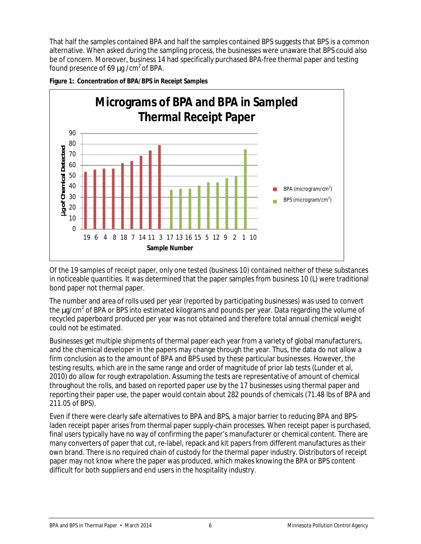That half the samples contained BPA and half the samples contained BPS suggests that BPS is a common alternative. When asked during the sampling process, the businesses were unaware that BPS could also be of concern. Moreover, business 14 had specifically purchased BPA-free thermal paper and testing found presence of 69  $mg/cm<sup>2</sup>$  of BPA.





Of the 19 samples of receipt paper, only one tested (business 10) contained neither of these substances in noticeable quantities. It was determined that the paper samples from business 10 (L) were traditional bond paper not thermal paper.

The number and area of rolls used per year (reported by participating businesses) was used to convert the  $mg/cm<sup>2</sup>$  of BPA or BPS into estimated kilograms and pounds per year. Data regarding the volume of recycled paperboard produced per year was not obtained and therefore total annual chemical weight could not be estimated.

Businesses get multiple shipments of thermal paper each year from a variety of global manufacturers, and the chemical developer in the papers may change through the year. Thus, the data do not allow a firm conclusion as to the amount of BPA and BPS used by these particular businesses. However, the testing results, which are in the same range and order of magnitude of prior lab tests (Lunder et al, 2010) do allow for rough extrapolation. Assuming the tests are representative of amount of chemical throughout the rolls, and based on reported paper use by the 17 businesses using thermal paper *and* reporting their paper use, the paper would contain about 282 pounds of chemicals (71.48 lbs of BPA and 211.05 of BPS).

Even if there were clearly safe alternatives to BPA and BPS, a major barrier to reducing BPA and BPSladen receipt paper arises from thermal paper supply-chain processes. When receipt paper is purchased, final users typically have no way of confirming the paper's manufacturer or chemical content. There are many converters of paper that cut, re-label, repack and kit papers from different manufactures as their own brand. There is no required chain of custody for the thermal paper industry. Distributors of receipt paper may not know where the paper was produced, which makes knowing the BPA or BPS content difficult for both suppliers and end users in the hospitality industry.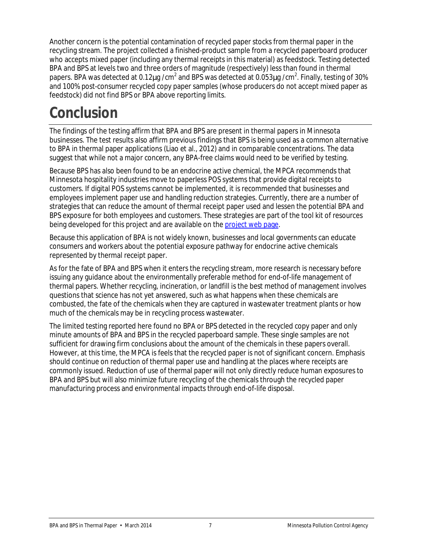Another concern is the potential contamination of recycled paper stocks from thermal paper in the recycling stream. The project collected a finished-product sample from a recycled paperboard producer who accepts mixed paper (including any thermal receipts in this material) as feedstock. Testing detected BPA and BPS at levels two and three orders of magnitude (respectively) less than found in thermal papers. BPA was detected at 0.12 $mg$  /cm<sup>2</sup> and BPS was detected at 0.053 $mg$  /cm<sup>2</sup>. Finally, testing of 30% and 100% post-consumer recycled copy paper samples (whose producers do not accept mixed paper as feedstock) did not find BPS or BPA above reporting limits.

### <span id="page-8-0"></span>**Conclusion**

The findings of the testing affirm that BPA and BPS are present in thermal papers in Minnesota businesses. The test results also affirm previous findings that BPS is being used as a common alternative to BPA in thermal paper applications (Liao et al., 2012) and in comparable concentrations. The data suggest that while not a major concern, any BPA-free claims would need to be verified by testing.

Because BPS has also been found to be an endocrine active chemical, the MPCA recommends that Minnesota hospitality industries move to paperless POS systems that provide digital receipts to customers. If digital POS systems cannot be implemented, it is recommended that businesses and employees implement paper use and handling reduction strategies. Currently, there are a number of strategies that can reduce the amount of thermal receipt paper used and lessen the potential BPA and BPS exposure for both employees and customers. These strategies are part of the tool kit of resources being developed for this project and are available on the [project web page.](http://www.pca.state.mn.us/lupg149d)

Because this application of BPA is not widely known, businesses and local governments can educate consumers and workers about the potential exposure pathway for endocrine active chemicals represented by thermal receipt paper.

As for the fate of BPA and BPS when it enters the recycling stream, more research is necessary before issuing any guidance about the environmentally preferable method for end-of-life management of thermal papers. Whether recycling, incineration, or landfill is the best method of management involves questions that science has not yet answered, such as what happens when these chemicals are combusted, the fate of the chemicals when they are captured in wastewater treatment plants or how much of the chemicals may be in recycling process wastewater.

The limited testing reported here found no BPA or BPS detected in the recycled copy paper and only minute amounts of BPA and BPS in the recycled paperboard sample. These single samples are not sufficient for drawing firm conclusions about the amount of the chemicals in these papers overall. However, at this time, the MPCA is feels that the recycled paper is not of significant concern. Emphasis should continue on reduction of thermal paper use and handling at the places where receipts are commonly issued. Reduction of use of thermal paper will not only directly reduce human exposures to BPA and BPS but will also minimize future recycling of the chemicals through the recycled paper manufacturing process and environmental impacts through end-of-life disposal.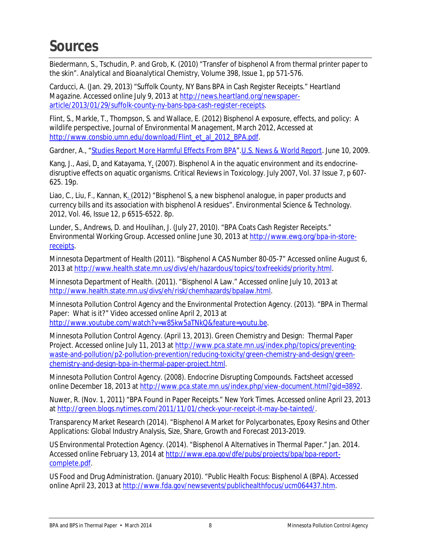### <span id="page-9-0"></span>**Sources**

Biedermann, S., Tschudin, P. and Grob, K. (2010) "Transfer of bisphenol A from thermal printer paper to the skin". *Analytical and Bioanalytical Chemistry*, Volume 398, Issue 1, pp 571-576.

Carducci, A. (Jan. 29, 2013) "Suffolk County, NY Bans BPA in Cash Register Receipts." *Heartland Magazine*. Accessed online July 9, 2013 a[t http://news.heartland.org/newspaper](http://news.heartland.org/newspaper-article/2013/01/29/suffolk-county-ny-bans-bpa-cash-register-receipts)[article/2013/01/29/suffolk-county-ny-bans-bpa-cash-register-receipts.](http://news.heartland.org/newspaper-article/2013/01/29/suffolk-county-ny-bans-bpa-cash-register-receipts)

Flint, S., Markle, T., Thompson, S. and Wallace, E. (2012) Bisphenol A exposure, effects, and policy: A wildlife perspective, *Journal of Environmental Management*, March 2012, Accessed at [http://www.consbio.umn.edu/download/Flint\\_et\\_al\\_2012\\_BPA.pdf.](http://www.consbio.umn.edu/download/Flint_et_al_2012_BPA.pdf)

Gardner, A., ["Studies Report More Harmful Effects From BPA"](http://health.usnews.com/health-news/family-health/heart/articles/2009/06/10/studies-report-more-harmful-effects-from-bpa.html).*[U.S. News & World Report](http://en.wikipedia.org/wiki/U.S._News_%26_World_Report)*. June 10, 2009.

Kang, J., Aasi, D. and Katayama, Y. (2007). Bisphenol A in the aquatic environment and its endocrinedisruptive effects on aquatic organisms. Critical Reviews in Toxicology. July 2007, Vol. 37 Issue 7, p 607- 625. 19p.

Liao, C., Liu, F., Kannan, K. (2012) "Bisphenol S, a new bisphenol analogue, in paper products and currency bills and its association with bisphenol A residues". Environmental Science & Technology. 2012, Vol. 46, Issue 12, p 6515-6522. 8p.

Lunder, S., Andrews, D. and Houlihan, J. (July 27, 2010). "BPA Coats Cash Register Receipts." Environmental Working Group. Accessed online June 30, 2013 a[t http://www.ewg.org/bpa-in-store](http://www.ewg.org/bpa-in-store-receipts)[receipts.](http://www.ewg.org/bpa-in-store-receipts)

Minnesota Department of Health (2011). "Bisphenol A CAS Number 80-05-7" Accessed online August 6, 2013 at [http://www.health.state.mn.us/divs/eh/hazardous/topics/toxfreekids/priority.html.](http://www.health.state.mn.us/divs/eh/hazardous/topics/toxfreekids/priority.html)

Minnesota Department of Health. (2011). "Bisphenol A Law." Accessed online July 10, 2013 at [http://www.health.state.mn.us/divs/eh/risk/chemhazards/bpalaw.html.](http://www.health.state.mn.us/divs/eh/risk/chemhazards/bpalaw.html)

Minnesota Pollution Control Agency and the Environmental Protection Agency. (2013). "BPA in Thermal Paper: What is it?" Video accessed online April 2, 2013 at [http://www.youtube.com/watch?v=w85kw5aTNkQ&feature=youtu.be.](http://www.youtube.com/watch?v=w85kw5aTNkQ&feature=youtu.be)

Minnesota Pollution Control Agency. (April 13, 2013). Green Chemistry and Design: Thermal Paper Project. Accessed online July 11, 2013 at [http://www.pca.state.mn.us/index.php/topics/preventing](http://www.pca.state.mn.us/index.php/topics/preventing-waste-and-pollution/p2-pollution-prevention/reducing-toxicity/green-chemistry-and-design/green-chemistry-and-design-bpa-in-thermal-paper-project.html)[waste-and-pollution/p2-pollution-prevention/reducing-toxicity/green-chemistry-and-design/green](http://www.pca.state.mn.us/index.php/topics/preventing-waste-and-pollution/p2-pollution-prevention/reducing-toxicity/green-chemistry-and-design/green-chemistry-and-design-bpa-in-thermal-paper-project.html)[chemistry-and-design-bpa-in-thermal-paper-project.html.](http://www.pca.state.mn.us/index.php/topics/preventing-waste-and-pollution/p2-pollution-prevention/reducing-toxicity/green-chemistry-and-design/green-chemistry-and-design-bpa-in-thermal-paper-project.html)

Minnesota Pollution Control Agency. (2008). Endocrine Disrupting Compounds. Factsheet accessed online December 18, 2013 a[t http://www.pca.state.mn.us/index.php/view-document.html?gid=3892.](http://www.pca.state.mn.us/index.php/view-document.html?gid=3892)

Nuwer, R. (Nov. 1, 2011) "BPA Found in Paper Receipts." *New York Times*. Accessed online April 23, 2013 at [http://green.blogs.nytimes.com/2011/11/01/check-your-receipt-it-may-be-tainted/.](http://green.blogs.nytimes.com/2011/11/01/check-your-receipt-it-may-be-tainted/)

Transparency Market Research (2014). "Bisphenol A Market for Polycarbonates, Epoxy Resins and Other Applications: Global Industry Analysis, Size, Share, Growth and Forecast 2013-2019.

US Environmental Protection Agency. (2014). "Bisphenol A Alternatives in Thermal Paper." Jan. 2014. Accessed online February 13, 2014 at [http://www.epa.gov/dfe/pubs/projects/bpa/bpa-report](http://www.epa.gov/dfe/pubs/projects/bpa/bpa-report-complete.pdf)[complete.pdf.](http://www.epa.gov/dfe/pubs/projects/bpa/bpa-report-complete.pdf)

US Food and Drug Administration. (January 2010). "Public Health Focus: Bisphenol A (BPA). Accessed online April 23, 2013 a[t http://www.fda.gov/newsevents/publichealthfocus/ucm064437.htm.](http://www.fda.gov/newsevents/publichealthfocus/ucm064437.htm)